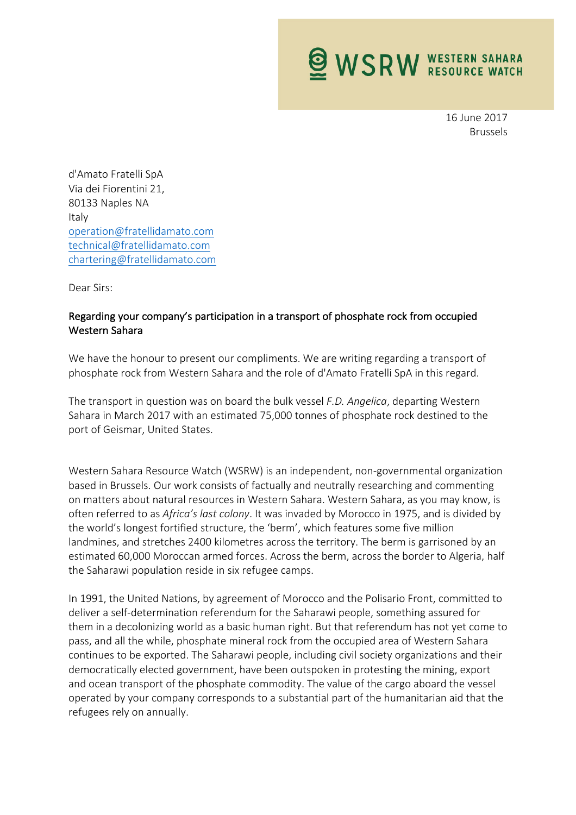**WSRW WESTERN SAHARA** 

16 June 2017 Brussels

d'Amato Fratelli SpA Via dei Fiorentini 21, 80133 Naples NA Italy operation@fratellidamato.com technical@fratellidamato.com chartering@fratellidamato.com

Dear Sirs:

## Regarding your company's participation in a transport of phosphate rock from occupied Western Sahara

We have the honour to present our compliments. We are writing regarding a transport of phosphate rock from Western Sahara and the role of d'Amato Fratelli SpA in this regard.

The transport in question was on board the bulk vessel *F.D. Angelica*, departing Western Sahara in March 2017 with an estimated 75,000 tonnes of phosphate rock destined to the port of Geismar, United States.

Western Sahara Resource Watch (WSRW) is an independent, non-governmental organization based in Brussels. Our work consists of factually and neutrally researching and commenting on matters about natural resources in Western Sahara. Western Sahara, as you may know, is often referred to as *Africa's last colony*. It was invaded by Morocco in 1975, and is divided by the world's longest fortified structure, the 'berm', which features some five million landmines, and stretches 2400 kilometres across the territory. The berm is garrisoned by an estimated 60,000 Moroccan armed forces. Across the berm, across the border to Algeria, half the Saharawi population reside in six refugee camps.

In 1991, the United Nations, by agreement of Morocco and the Polisario Front, committed to deliver a self-determination referendum for the Saharawi people, something assured for them in a decolonizing world as a basic human right. But that referendum has not yet come to pass, and all the while, phosphate mineral rock from the occupied area of Western Sahara continues to be exported. The Saharawi people, including civil society organizations and their democratically elected government, have been outspoken in protesting the mining, export and ocean transport of the phosphate commodity. The value of the cargo aboard the vessel operated by your company corresponds to a substantial part of the humanitarian aid that the refugees rely on annually.